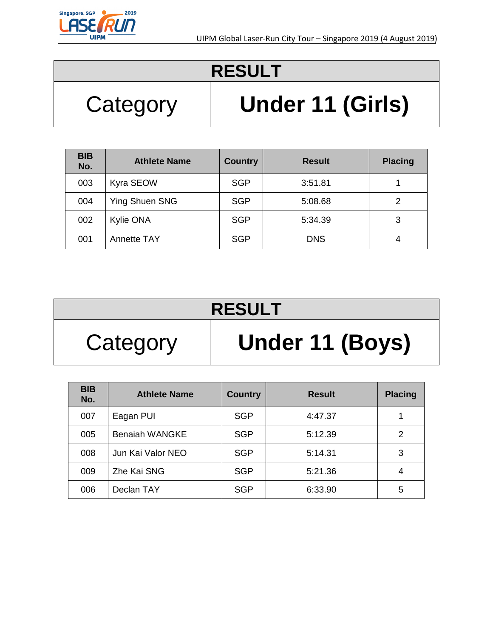

## Category **Under 11 (Girls)**

| <b>BIB</b><br>No. | <b>Athlete Name</b> | <b>Country</b> | <b>Result</b> | <b>Placing</b> |
|-------------------|---------------------|----------------|---------------|----------------|
| 003               | Kyra SEOW           | <b>SGP</b>     | 3:51.81       |                |
| 004               | Ying Shuen SNG      | <b>SGP</b>     | 5:08.68       | 2              |
| 002               | Kylie ONA           | <b>SGP</b>     | 5:34.39       | 3              |
| 001               | <b>Annette TAY</b>  | <b>SGP</b>     | <b>DNS</b>    | 4              |

| <b>RESULT</b> |                 |  |  |  |
|---------------|-----------------|--|--|--|
| Category      | Under 11 (Boys) |  |  |  |

| <b>BIB</b><br>No. | <b>Athlete Name</b>   | <b>Country</b> | <b>Result</b> | <b>Placing</b> |
|-------------------|-----------------------|----------------|---------------|----------------|
| 007               | Eagan PUI             | <b>SGP</b>     | 4:47.37       |                |
| 005               | <b>Benaiah WANGKE</b> | <b>SGP</b>     | 5:12.39       | 2              |
| 008               | Jun Kai Valor NEO     | <b>SGP</b>     | 5:14.31       | 3              |
| 009               | Zhe Kai SNG           | <b>SGP</b>     | 5:21.36       | 4              |
| 006               | Declan TAY            | <b>SGP</b>     | 6:33.90       | 5              |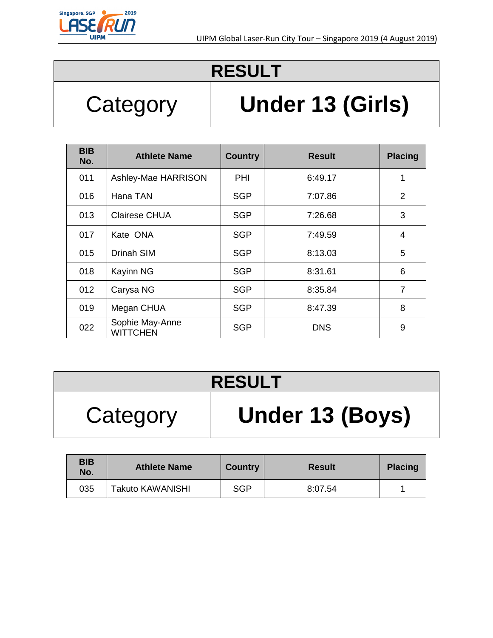

## Category **Under 13 (Girls)**

| <b>BIB</b><br>No. | <b>Athlete Name</b>                | <b>Country</b> | <b>Result</b> | <b>Placing</b> |
|-------------------|------------------------------------|----------------|---------------|----------------|
| 011               | Ashley-Mae HARRISON                | PHI            | 6:49.17       | 1              |
| 016               | Hana TAN                           | SGP            | 7:07.86       | $\overline{2}$ |
| 013               | <b>Clairese CHUA</b>               | <b>SGP</b>     | 7:26.68       | 3              |
| 017               | Kate ONA                           | <b>SGP</b>     | 7:49.59       | 4              |
| 015               | <b>Drinah SIM</b>                  | <b>SGP</b>     | 8:13.03       | 5              |
| 018               | Kayinn NG                          | <b>SGP</b>     | 8:31.61       | 6              |
| 012               | Carysa NG                          | <b>SGP</b>     | 8:35.84       | $\overline{7}$ |
| 019               | Megan CHUA                         | <b>SGP</b>     | 8:47.39       | 8              |
| 022               | Sophie May-Anne<br><b>WITTCHEN</b> | <b>SGP</b>     | <b>DNS</b>    | 9              |

### **RESULT**

## Category **Under 13 (Boys)**

| <b>BIB</b><br>No. | <b>Athlete Name</b>     | <b>Country</b> | <b>Result</b> | <b>Placing</b> |
|-------------------|-------------------------|----------------|---------------|----------------|
| 035               | <b>Takuto KAWANISHI</b> | <b>SGP</b>     | 8:07.54       |                |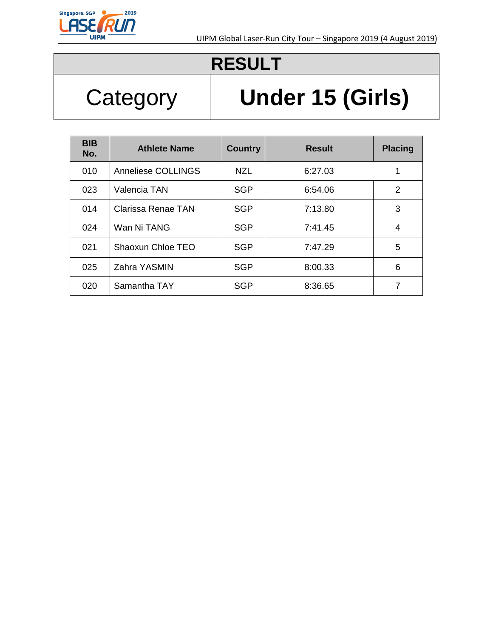

# Category **Under 15 (Girls)**

| <b>BIB</b><br>No. | <b>Athlete Name</b> | <b>Country</b> | <b>Result</b> | <b>Placing</b> |
|-------------------|---------------------|----------------|---------------|----------------|
| 010               | Anneliese COLLINGS  | NZL            | 6:27.03       | 1              |
| 023               | Valencia TAN        | <b>SGP</b>     | 6:54.06       | 2              |
| 014               | Clarissa Renae TAN  | <b>SGP</b>     | 7:13.80       | 3              |
| 024               | Wan Ni TANG         | <b>SGP</b>     | 7:41.45       | 4              |
| 021               | Shaoxun Chloe TEO   | <b>SGP</b>     | 7:47.29       | 5              |
| 025               | Zahra YASMIN        | <b>SGP</b>     | 8:00.33       | 6              |
| 020               | Samantha TAY        | <b>SGP</b>     | 8:36.65       | 7              |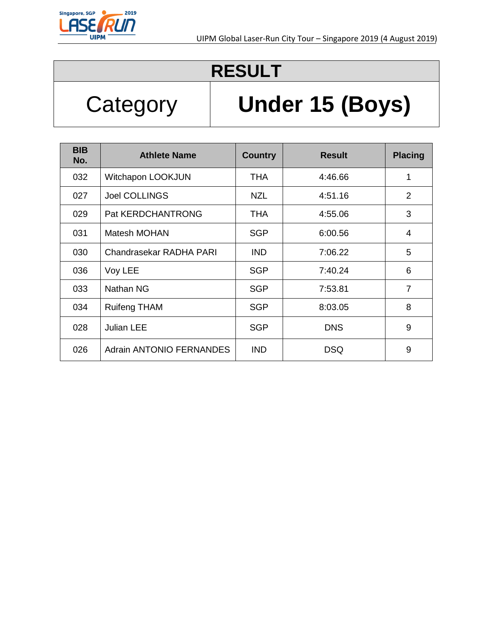

# Category **Under 15 (Boys)**

| <b>BIB</b><br>No. | <b>Athlete Name</b>             | <b>Country</b> | <b>Result</b> | <b>Placing</b> |
|-------------------|---------------------------------|----------------|---------------|----------------|
| 032               | Witchapon LOOKJUN               | <b>THA</b>     | 4:46.66       | 1              |
| 027               | <b>Joel COLLINGS</b>            | <b>NZL</b>     | 4:51.16       | $\overline{2}$ |
| 029               | Pat KERDCHANTRONG               | <b>THA</b>     | 4:55.06       | 3              |
| 031               | Matesh MOHAN                    | <b>SGP</b>     | 6:00.56       | 4              |
| 030               | Chandrasekar RADHA PARI         | <b>IND</b>     | 7:06.22       | 5              |
| 036               | Voy LEE                         | <b>SGP</b>     | 7:40.24       | 6              |
| 033               | Nathan NG                       | <b>SGP</b>     | 7:53.81       | $\overline{7}$ |
| 034               | <b>Ruifeng THAM</b>             | <b>SGP</b>     | 8:03.05       | 8              |
| 028               | <b>Julian LEE</b>               | <b>SGP</b>     | <b>DNS</b>    | 9              |
| 026               | <b>Adrain ANTONIO FERNANDES</b> | <b>IND</b>     | <b>DSQ</b>    | 9              |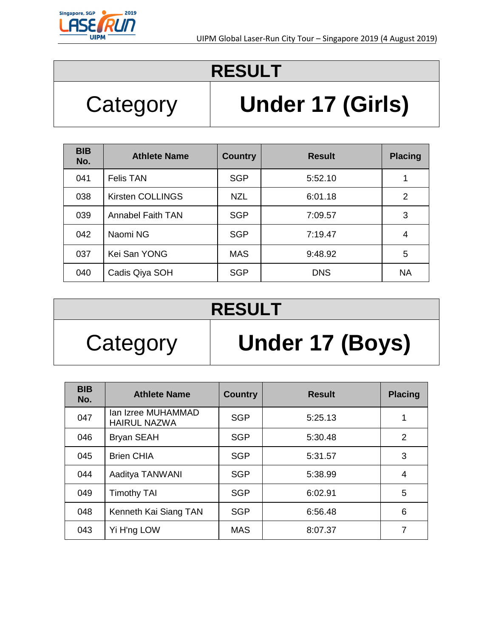

## Category **Under 17 (Girls)**

| <b>BIB</b><br>No. | <b>Athlete Name</b>      | <b>Country</b> | <b>Result</b> | <b>Placing</b> |
|-------------------|--------------------------|----------------|---------------|----------------|
| 041               | <b>Felis TAN</b>         | <b>SGP</b>     | 5:52.10       | 1              |
| 038               | Kirsten COLLINGS         | <b>NZL</b>     | 6:01.18       | $\overline{2}$ |
| 039               | <b>Annabel Faith TAN</b> | <b>SGP</b>     | 7:09.57       | 3              |
| 042               | Naomi NG                 | <b>SGP</b>     | 7:19.47       | 4              |
| 037               | Kei San YONG             | <b>MAS</b>     | 9:48.92       | 5              |
| 040               | Cadis Qiya SOH           | <b>SGP</b>     | <b>DNS</b>    | <b>NA</b>      |

## **RESULT**

# Category **Under 17 (Boys)**

| <b>BIB</b><br>No. | <b>Athlete Name</b>                       | <b>Country</b> | <b>Result</b> | <b>Placing</b> |
|-------------------|-------------------------------------------|----------------|---------------|----------------|
| 047               | Ian Izree MUHAMMAD<br><b>HAIRUL NAZWA</b> | <b>SGP</b>     | 5:25.13       |                |
| 046               | <b>Bryan SEAH</b>                         | <b>SGP</b>     | 5:30.48       | 2              |
| 045               | <b>Brien CHIA</b>                         | <b>SGP</b>     | 5:31.57       | 3              |
| 044               | Aaditya TANWANI                           | <b>SGP</b>     | 5:38.99       | 4              |
| 049               | <b>Timothy TAI</b>                        | <b>SGP</b>     | 6:02.91       | 5              |
| 048               | Kenneth Kai Siang TAN                     | <b>SGP</b>     | 6:56.48       | 6              |
| 043               | Yi H'ng LOW                               | <b>MAS</b>     | 8:07.37       | 7              |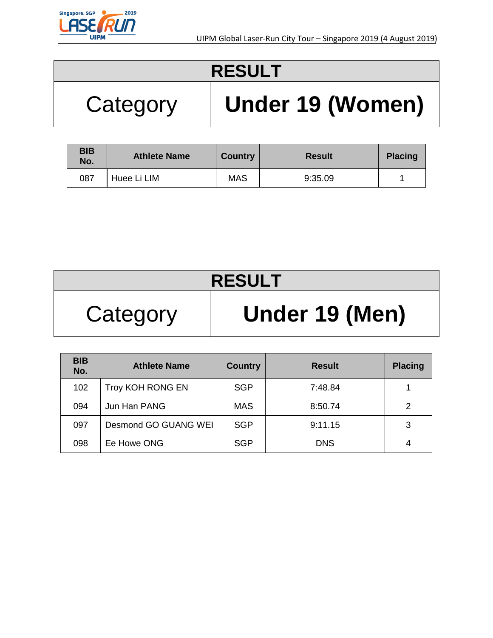

# Category **Under 19 (Women)**

| <b>BIB</b><br>No. | <b>Athlete Name</b> | <b>Country</b> | <b>Result</b> | <b>Placing</b> |
|-------------------|---------------------|----------------|---------------|----------------|
| 087               | Huee Li LIM         | <b>MAS</b>     | 9:35.09       |                |

| <b>RESULT</b> |                |  |  |  |
|---------------|----------------|--|--|--|
| Category      | Under 19 (Men) |  |  |  |

| <b>BIB</b><br>No. | <b>Athlete Name</b>  | <b>Country</b> | <b>Result</b> | <b>Placing</b> |
|-------------------|----------------------|----------------|---------------|----------------|
| 102               | Troy KOH RONG EN     | <b>SGP</b>     | 7:48.84       |                |
| 094               | Jun Han PANG         | <b>MAS</b>     | 8:50.74       | 2              |
| 097               | Desmond GO GUANG WEI | <b>SGP</b>     | 9:11.15       | 3              |
| 098               | Ee Howe ONG          | <b>SGP</b>     | <b>DNS</b>    | 4              |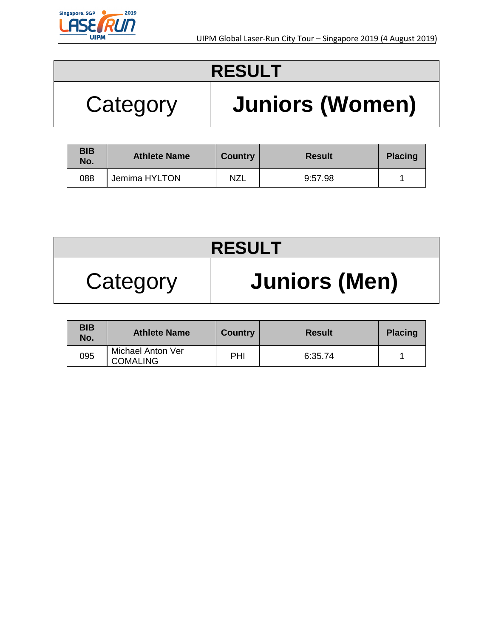

## Category **Juniors (Women)**

| <b>BIB</b><br>No. | <b>Athlete Name</b> | <b>Country</b> | <b>Result</b> | <b>Placing</b> |
|-------------------|---------------------|----------------|---------------|----------------|
| 088               | Jemima HYLTON       | <b>NZL</b>     | 9:57.98       |                |

| <b>RESULT</b> |                      |  |  |
|---------------|----------------------|--|--|
| Category      | <b>Juniors (Men)</b> |  |  |

| <b>BIB</b><br>No. | <b>Athlete Name</b>                  | <b>Country</b> | <b>Result</b> | <b>Placing</b> |
|-------------------|--------------------------------------|----------------|---------------|----------------|
| 095               | Michael Anton Ver<br><b>COMALING</b> | PHI            | 6:35.74       |                |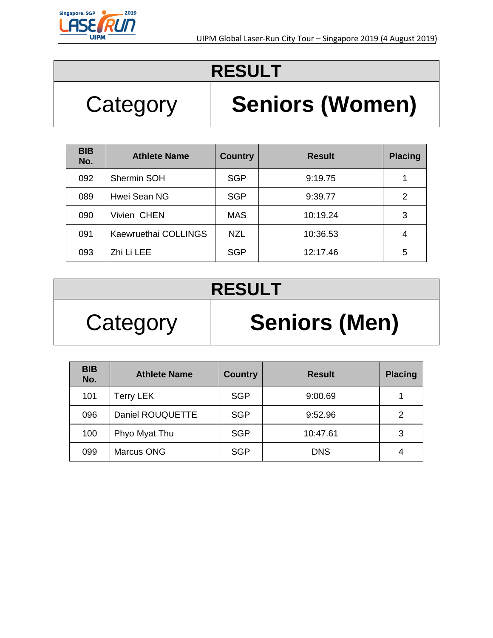

## Category | **Seniors (Women)**

| <b>BIB</b><br>No. | <b>Athlete Name</b>  | <b>Country</b> | <b>Result</b> | <b>Placing</b> |
|-------------------|----------------------|----------------|---------------|----------------|
| 092               | Shermin SOH          | <b>SGP</b>     | 9:19.75       |                |
| 089               | Hwei Sean NG         | <b>SGP</b>     | 9:39.77       | 2              |
| 090               | Vivien CHEN          | <b>MAS</b>     | 10:19.24      | 3              |
| 091               | Kaewruethai COLLINGS | <b>NZL</b>     | 10:36.53      | 4              |
| 093               | Zhi Li LEE           | <b>SGP</b>     | 12:17.46      | 5              |

#### **RESULT**

## Category | **Seniors (Men)**

| <b>BIB</b><br>No. | <b>Athlete Name</b> | <b>Country</b> | <b>Result</b> | <b>Placing</b> |
|-------------------|---------------------|----------------|---------------|----------------|
| 101               | <b>Terry LEK</b>    | <b>SGP</b>     | 9:00.69       |                |
| 096               | Daniel ROUQUETTE    | <b>SGP</b>     | 9:52.96       | 2              |
| 100               | Phyo Myat Thu       | <b>SGP</b>     | 10:47.61      | 3              |
| 099               | <b>Marcus ONG</b>   | <b>SGP</b>     | <b>DNS</b>    | 4              |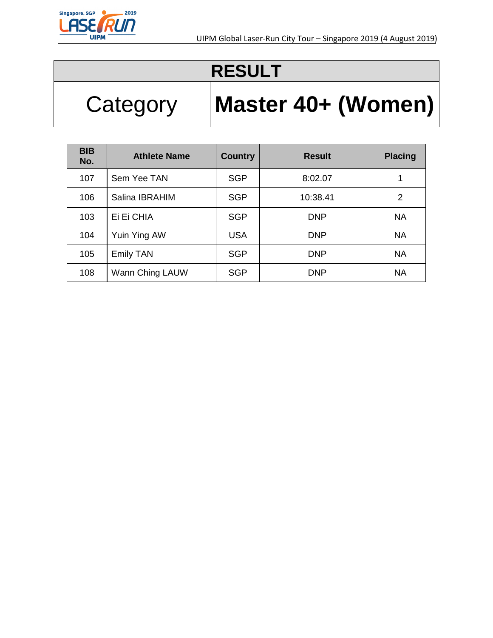

# Category **Master 40+ (Women)**

| <b>BIB</b><br>No. | <b>Athlete Name</b> | <b>Country</b> | <b>Result</b> | <b>Placing</b> |
|-------------------|---------------------|----------------|---------------|----------------|
| 107               | Sem Yee TAN         | <b>SGP</b>     | 8:02.07       | 1              |
| 106               | Salina IBRAHIM      | <b>SGP</b>     | 10:38.41      | 2              |
| 103               | Ei Ei CHIA          | <b>SGP</b>     | <b>DNP</b>    | <b>NA</b>      |
| 104               | Yuin Ying AW        | <b>USA</b>     | <b>DNP</b>    | <b>NA</b>      |
| 105               | <b>Emily TAN</b>    | <b>SGP</b>     | <b>DNP</b>    | <b>NA</b>      |
| 108               | Wann Ching LAUW     | <b>SGP</b>     | <b>DNP</b>    | <b>NA</b>      |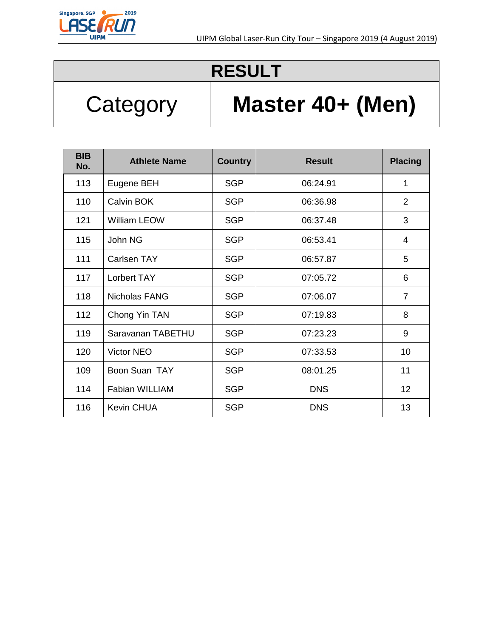

## Category | **Master 40+ (Men)**

| <b>BIB</b><br>No. | <b>Athlete Name</b>   | <b>Country</b> | <b>Result</b> | <b>Placing</b> |
|-------------------|-----------------------|----------------|---------------|----------------|
| 113               | Eugene BEH            | <b>SGP</b>     | 06:24.91      | 1              |
| 110               | Calvin BOK            | <b>SGP</b>     | 06:36.98      | $\overline{2}$ |
| 121               | <b>William LEOW</b>   | <b>SGP</b>     | 06:37.48      | 3              |
| 115               | John NG               | <b>SGP</b>     | 06:53.41      | 4              |
| 111               | <b>Carlsen TAY</b>    | <b>SGP</b>     | 06:57.87      | 5              |
| 117               | Lorbert TAY           | <b>SGP</b>     | 07:05.72      | 6              |
| 118               | <b>Nicholas FANG</b>  | <b>SGP</b>     | 07:06.07      | $\overline{7}$ |
| 112               | Chong Yin TAN         | <b>SGP</b>     | 07:19.83      | 8              |
| 119               | Saravanan TABETHU     | <b>SGP</b>     | 07:23.23      | 9              |
| 120               | Victor NEO            | <b>SGP</b>     | 07:33.53      | 10             |
| 109               | Boon Suan TAY         | <b>SGP</b>     | 08:01.25      | 11             |
| 114               | <b>Fabian WILLIAM</b> | <b>SGP</b>     | <b>DNS</b>    | 12             |
| 116               | <b>Kevin CHUA</b>     | <b>SGP</b>     | <b>DNS</b>    | 13             |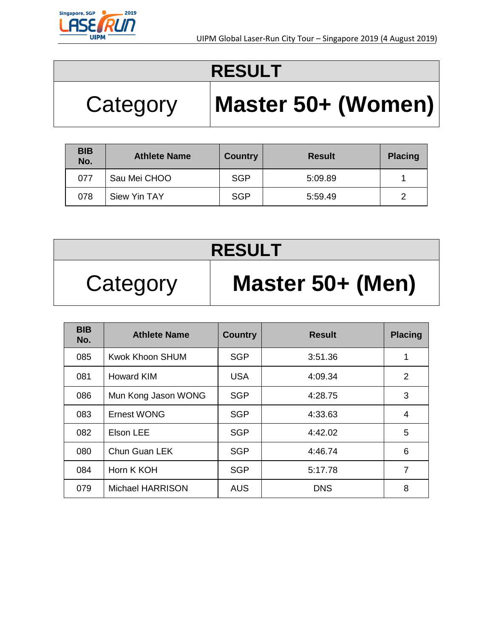

# Category **Master 50+ (Women)**

| <b>BIB</b><br>No. | <b>Athlete Name</b> | <b>Country</b> | <b>Result</b> | <b>Placing</b> |
|-------------------|---------------------|----------------|---------------|----------------|
| 077               | Sau Mei CHOO        | <b>SGP</b>     | 5:09.89       |                |
| 078               | <b>Siew Yin TAY</b> | <b>SGP</b>     | 5:59.49       |                |

| <b>RESULT</b> |                  |  |  |  |
|---------------|------------------|--|--|--|
| Category      | Master 50+ (Men) |  |  |  |

| <b>BIB</b><br>No. | <b>Athlete Name</b>     | <b>Country</b> | <b>Result</b> | <b>Placing</b> |
|-------------------|-------------------------|----------------|---------------|----------------|
| 085               | <b>Kwok Khoon SHUM</b>  | <b>SGP</b>     | 3:51.36       | 1              |
| 081               | <b>Howard KIM</b>       | <b>USA</b>     | 4:09.34       | $\overline{2}$ |
| 086               | Mun Kong Jason WONG     | <b>SGP</b>     | 4:28.75       | 3              |
| 083               | <b>Ernest WONG</b>      | <b>SGP</b>     | 4:33.63       | 4              |
| 082               | Elson LEE               | <b>SGP</b>     | 4:42.02       | 5              |
| 080               | Chun Guan LEK           | <b>SGP</b>     | 4:46.74       | 6              |
| 084               | Horn K KOH              | <b>SGP</b>     | 5:17.78       | 7              |
| 079               | <b>Michael HARRISON</b> | <b>AUS</b>     | <b>DNS</b>    | 8              |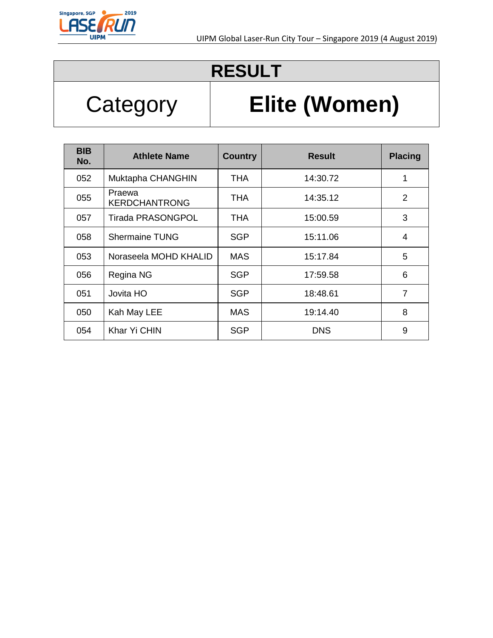

## Category **Elite (Women)**

| <b>BIB</b><br>No. | <b>Athlete Name</b>            | <b>Country</b> | <b>Result</b> | <b>Placing</b> |
|-------------------|--------------------------------|----------------|---------------|----------------|
| 052               | Muktapha CHANGHIN              | <b>THA</b>     | 14:30.72      | 1              |
| 055               | Praewa<br><b>KERDCHANTRONG</b> | THA            | 14:35.12      | 2              |
| 057               | <b>Tirada PRASONGPOL</b>       | THA            | 15:00.59      | 3              |
| 058               | <b>Shermaine TUNG</b>          | <b>SGP</b>     | 15:11.06      | 4              |
| 053               | Noraseela MOHD KHALID          | <b>MAS</b>     | 15:17.84      | 5              |
| 056               | Regina NG                      | <b>SGP</b>     | 17:59.58      | 6              |
| 051               | Jovita HO                      | <b>SGP</b>     | 18:48.61      | 7              |
| 050               | Kah May LEE                    | <b>MAS</b>     | 19:14.40      | 8              |
| 054               | Khar Yi CHIN                   | <b>SGP</b>     | <b>DNS</b>    | 9              |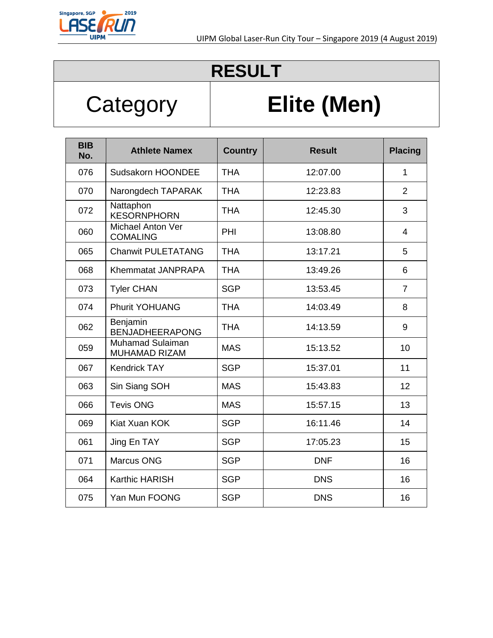

## Category **Elite (Men)**

| <b>BIB</b><br>No. | <b>Athlete Namex</b>                        | <b>Country</b> | <b>Result</b> | <b>Placing</b> |
|-------------------|---------------------------------------------|----------------|---------------|----------------|
| 076               | Sudsakorn HOONDEE                           | <b>THA</b>     | 12:07.00      | $\mathbf{1}$   |
| 070               | Narongdech TAPARAK                          | <b>THA</b>     | 12:23.83      | $\overline{2}$ |
| 072               | Nattaphon<br><b>KESORNPHORN</b>             | <b>THA</b>     | 12:45.30      | 3              |
| 060               | <b>Michael Anton Ver</b><br><b>COMALING</b> | PHI            | 13:08.80      | 4              |
| 065               | <b>Chanwit PULETATANG</b>                   | <b>THA</b>     | 13:17.21      | 5              |
| 068               | Khemmatat JANPRAPA                          | <b>THA</b>     | 13:49.26      | 6              |
| 073               | <b>Tyler CHAN</b>                           | <b>SGP</b>     | 13:53.45      | $\overline{7}$ |
| 074               | <b>Phurit YOHUANG</b>                       | <b>THA</b>     | 14:03.49      | 8              |
| 062               | Benjamin<br><b>BENJADHEERAPONG</b>          | <b>THA</b>     | 14:13.59      | 9              |
| 059               | <b>Muhamad Sulaiman</b><br>MUHAMAD RIZAM    | <b>MAS</b>     | 15:13.52      | 10             |
| 067               | <b>Kendrick TAY</b>                         | <b>SGP</b>     | 15:37.01      | 11             |
| 063               | Sin Siang SOH                               | <b>MAS</b>     | 15:43.83      | 12             |
| 066               | <b>Tevis ONG</b>                            | <b>MAS</b>     | 15:57.15      | 13             |
| 069               | Kiat Xuan KOK                               | <b>SGP</b>     | 16:11.46      | 14             |
| 061               | Jing En TAY                                 | <b>SGP</b>     | 17:05.23      | 15             |
| 071               | <b>Marcus ONG</b>                           | <b>SGP</b>     | <b>DNF</b>    | 16             |
| 064               | <b>Karthic HARISH</b>                       | <b>SGP</b>     | <b>DNS</b>    | 16             |
| 075               | Yan Mun FOONG                               | <b>SGP</b>     | <b>DNS</b>    | 16             |